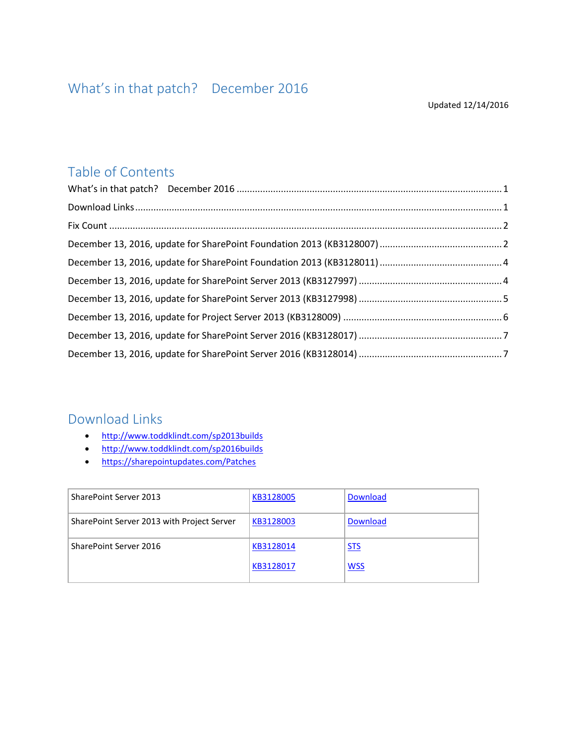## <span id="page-0-0"></span>Table of Contents

### <span id="page-0-1"></span>Download Links

- <http://www.toddklindt.com/sp2013builds>
- <http://www.toddklindt.com/sp2016builds>
- <https://sharepointupdates.com/Patches>

| SharePoint Server 2013                     | KB3128005 | <b>Download</b> |
|--------------------------------------------|-----------|-----------------|
| SharePoint Server 2013 with Project Server | KB3128003 | <b>Download</b> |
| SharePoint Server 2016                     | KB3128014 | <b>STS</b>      |
|                                            | KB3128017 | <b>WSS</b>      |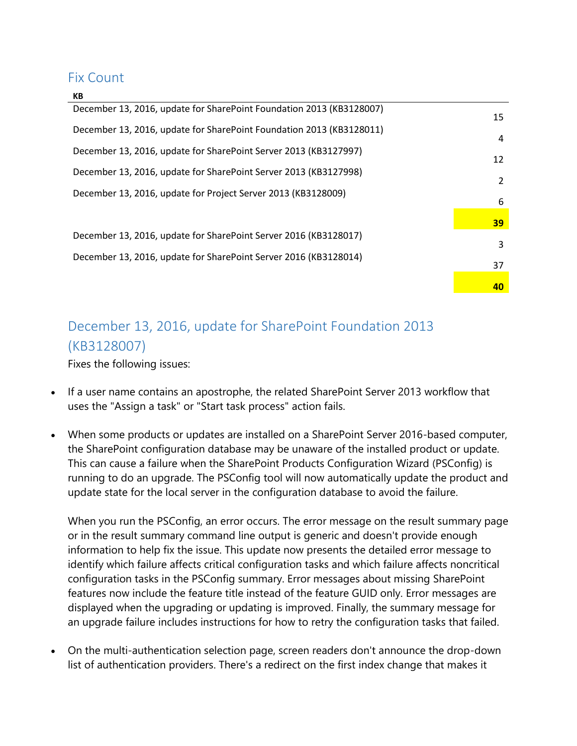#### <span id="page-1-0"></span>Fix Count

|  | ٧ |
|--|---|

| December 13, 2016, update for SharePoint Foundation 2013 (KB3128007) | 15            |
|----------------------------------------------------------------------|---------------|
| December 13, 2016, update for SharePoint Foundation 2013 (KB3128011) | 4             |
| December 13, 2016, update for SharePoint Server 2013 (KB3127997)     | 12            |
| December 13, 2016, update for SharePoint Server 2013 (KB3127998)     | $\mathcal{P}$ |
| December 13, 2016, update for Project Server 2013 (KB3128009)        |               |
|                                                                      | 6             |
|                                                                      | 39            |
| December 13, 2016, update for SharePoint Server 2016 (KB3128017)     | 3             |
| December 13, 2016, update for SharePoint Server 2016 (KB3128014)     | 37            |
|                                                                      |               |
|                                                                      | 40            |

# <span id="page-1-1"></span>December 13, 2016, update for SharePoint Foundation 2013 (KB3128007)

Fixes the following issues:

- If a user name contains an apostrophe, the related SharePoint Server 2013 workflow that uses the "Assign a task" or "Start task process" action fails.
- When some products or updates are installed on a SharePoint Server 2016-based computer, the SharePoint configuration database may be unaware of the installed product or update. This can cause a failure when the SharePoint Products Configuration Wizard (PSConfig) is running to do an upgrade. The PSConfig tool will now automatically update the product and update state for the local server in the configuration database to avoid the failure.

When you run the PSConfig, an error occurs. The error message on the result summary page or in the result summary command line output is generic and doesn't provide enough information to help fix the issue. This update now presents the detailed error message to identify which failure affects critical configuration tasks and which failure affects noncritical configuration tasks in the PSConfig summary. Error messages about missing SharePoint features now include the feature title instead of the feature GUID only. Error messages are displayed when the upgrading or updating is improved. Finally, the summary message for an upgrade failure includes instructions for how to retry the configuration tasks that failed.

 On the multi-authentication selection page, screen readers don't announce the drop-down list of authentication providers. There's a redirect on the first index change that makes it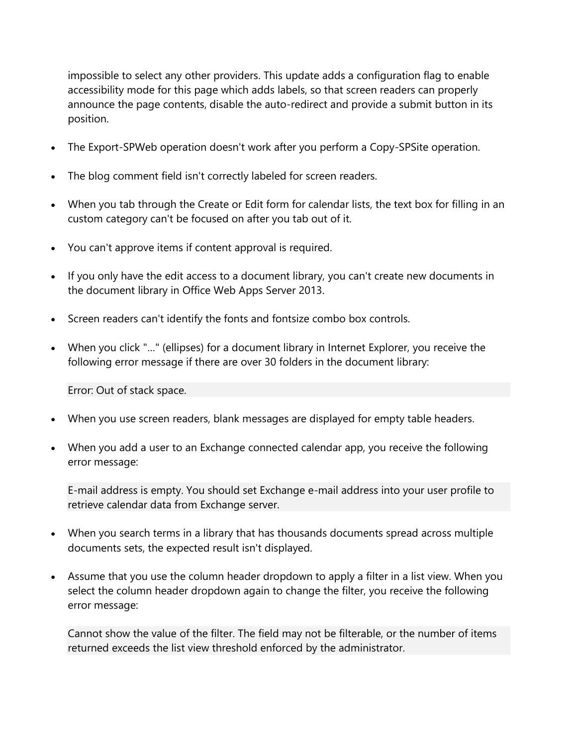impossible to select any other providers. This update adds a configuration flag to enable accessibility mode for this page which adds labels, so that screen readers can properly announce the page contents, disable the auto-redirect and provide a submit button in its position.

- The Export-SPWeb operation doesn't work after you perform a Copy-SPSite operation.
- The blog comment field isn't correctly labeled for screen readers.
- When you tab through the Create or Edit form for calendar lists, the text box for filling in an custom category can't be focused on after you tab out of it.
- You can't approve items if content approval is required.
- If you only have the edit access to a document library, you can't create new documents in the document library in Office Web Apps Server 2013.
- Screen readers can't identify the fonts and fontsize combo box controls.
- When you click "…" (ellipses) for a document library in Internet Explorer, you receive the following error message if there are over 30 folders in the document library:

Error: Out of stack space.

- When you use screen readers, blank messages are displayed for empty table headers.
- When you add a user to an Exchange connected calendar app, you receive the following error message:

E-mail address is empty. You should set Exchange e-mail address into your user profile to retrieve calendar data from Exchange server.

- When you search terms in a library that has thousands documents spread across multiple documents sets, the expected result isn't displayed.
- Assume that you use the column header dropdown to apply a filter in a list view. When you select the column header dropdown again to change the filter, you receive the following error message:

Cannot show the value of the filter. The field may not be filterable, or the number of items returned exceeds the list view threshold enforced by the administrator.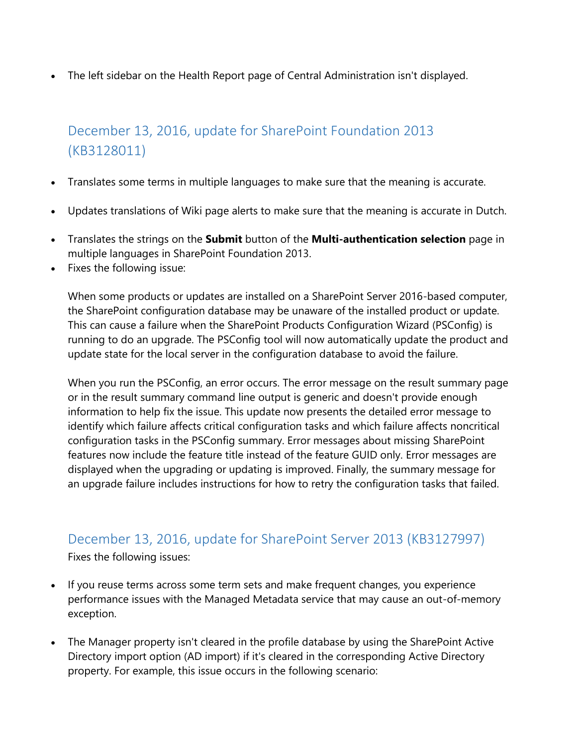The left sidebar on the Health Report page of Central Administration isn't displayed.

## <span id="page-3-0"></span>December 13, 2016, update for SharePoint Foundation 2013 (KB3128011)

- Translates some terms in multiple languages to make sure that the meaning is accurate.
- Updates translations of Wiki page alerts to make sure that the meaning is accurate in Dutch.
- Translates the strings on the **Submit** button of the **Multi-authentication selection** page in multiple languages in SharePoint Foundation 2013.
- Fixes the following issue:

When some products or updates are installed on a SharePoint Server 2016-based computer, the SharePoint configuration database may be unaware of the installed product or update. This can cause a failure when the SharePoint Products Configuration Wizard (PSConfig) is running to do an upgrade. The PSConfig tool will now automatically update the product and update state for the local server in the configuration database to avoid the failure.

When you run the PSConfig, an error occurs. The error message on the result summary page or in the result summary command line output is generic and doesn't provide enough information to help fix the issue. This update now presents the detailed error message to identify which failure affects critical configuration tasks and which failure affects noncritical configuration tasks in the PSConfig summary. Error messages about missing SharePoint features now include the feature title instead of the feature GUID only. Error messages are displayed when the upgrading or updating is improved. Finally, the summary message for an upgrade failure includes instructions for how to retry the configuration tasks that failed.

### <span id="page-3-1"></span>December 13, 2016, update for SharePoint Server 2013 (KB3127997)

Fixes the following issues:

- If you reuse terms across some term sets and make frequent changes, you experience performance issues with the Managed Metadata service that may cause an out-of-memory exception.
- The Manager property isn't cleared in the profile database by using the SharePoint Active Directory import option (AD import) if it's cleared in the corresponding Active Directory property. For example, this issue occurs in the following scenario: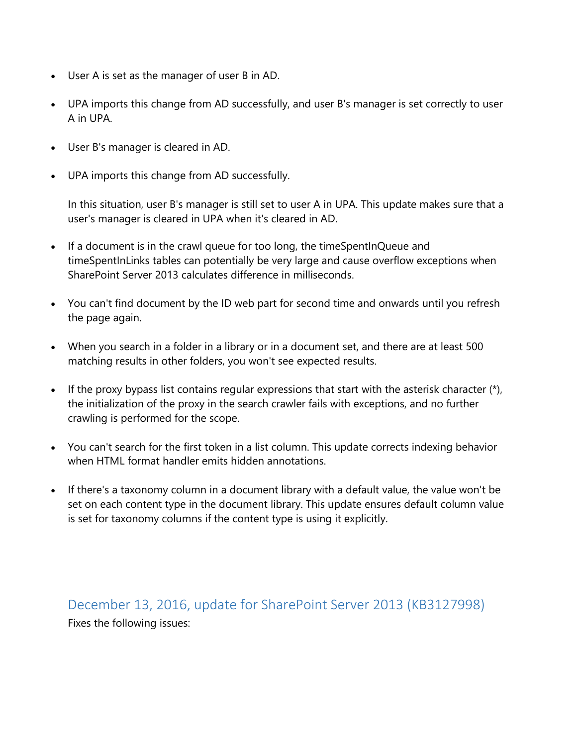- User A is set as the manager of user B in AD.
- UPA imports this change from AD successfully, and user B's manager is set correctly to user A in UPA.
- User B's manager is cleared in AD.
- UPA imports this change from AD successfully.

In this situation, user B's manager is still set to user A in UPA. This update makes sure that a user's manager is cleared in UPA when it's cleared in AD.

- If a document is in the crawl queue for too long, the timeSpentInQueue and timeSpentInLinks tables can potentially be very large and cause overflow exceptions when SharePoint Server 2013 calculates difference in milliseconds.
- You can't find document by the ID web part for second time and onwards until you refresh the page again.
- When you search in a folder in a library or in a document set, and there are at least 500 matching results in other folders, you won't see expected results.
- If the proxy bypass list contains regular expressions that start with the asterisk character  $(*)$ , the initialization of the proxy in the search crawler fails with exceptions, and no further crawling is performed for the scope.
- You can't search for the first token in a list column. This update corrects indexing behavior when HTML format handler emits hidden annotations.
- If there's a taxonomy column in a document library with a default value, the value won't be set on each content type in the document library. This update ensures default column value is set for taxonomy columns if the content type is using it explicitly.

<span id="page-4-0"></span>December 13, 2016, update for SharePoint Server 2013 (KB3127998) Fixes the following issues: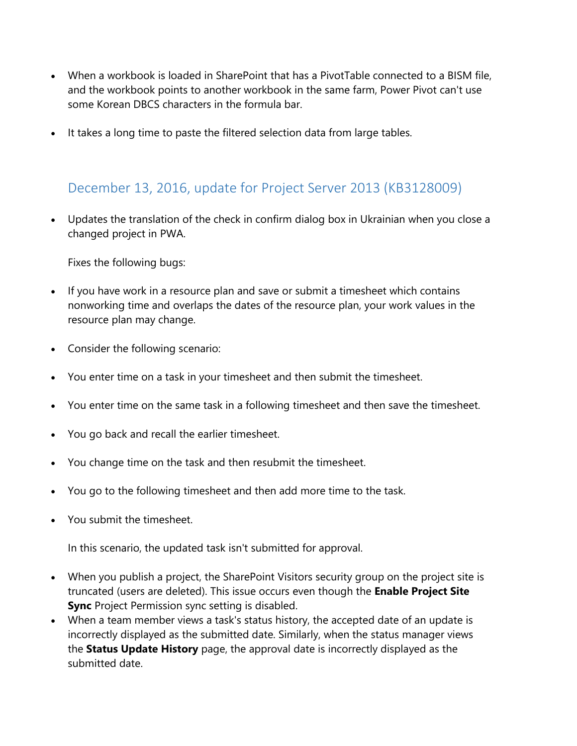- When a workbook is loaded in SharePoint that has a PivotTable connected to a BISM file, and the workbook points to another workbook in the same farm, Power Pivot can't use some Korean DBCS characters in the formula bar.
- It takes a long time to paste the filtered selection data from large tables.

### <span id="page-5-0"></span>December 13, 2016, update for Project Server 2013 (KB3128009)

 Updates the translation of the check in confirm dialog box in Ukrainian when you close a changed project in PWA.

Fixes the following bugs:

- If you have work in a resource plan and save or submit a timesheet which contains nonworking time and overlaps the dates of the resource plan, your work values in the resource plan may change.
- Consider the following scenario:
- You enter time on a task in your timesheet and then submit the timesheet.
- You enter time on the same task in a following timesheet and then save the timesheet.
- You go back and recall the earlier timesheet.
- You change time on the task and then resubmit the timesheet.
- You go to the following timesheet and then add more time to the task.
- You submit the timesheet.

In this scenario, the updated task isn't submitted for approval.

- When you publish a project, the SharePoint Visitors security group on the project site is truncated (users are deleted). This issue occurs even though the **Enable Project Site Sync** Project Permission sync setting is disabled.
- When a team member views a task's status history, the accepted date of an update is incorrectly displayed as the submitted date. Similarly, when the status manager views the **Status Update History** page, the approval date is incorrectly displayed as the submitted date.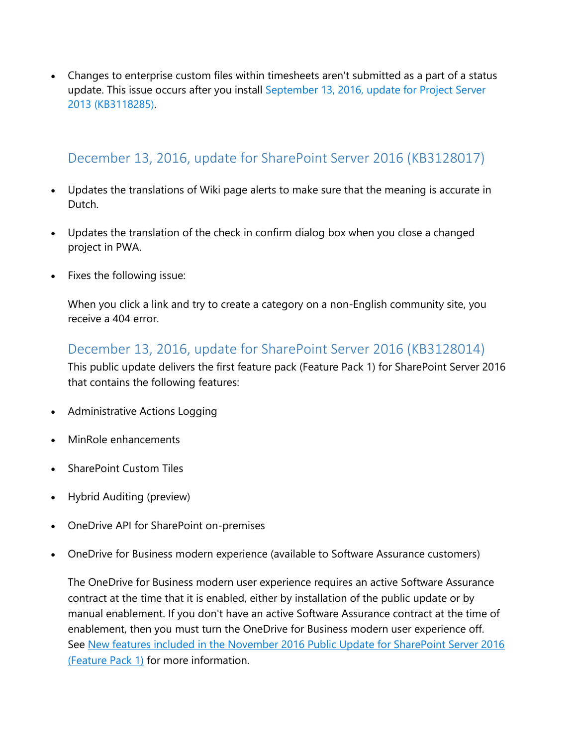Changes to enterprise custom files within timesheets aren't submitted as a part of a status update. This issue occurs after you install [September 13, 2016, update for Project Server](http://support.microsoft.com/kb/3118285)  [2013 \(KB3118285\).](http://support.microsoft.com/kb/3118285)

### <span id="page-6-0"></span>December 13, 2016, update for SharePoint Server 2016 (KB3128017)

- Updates the translations of Wiki page alerts to make sure that the meaning is accurate in Dutch.
- Updates the translation of the check in confirm dialog box when you close a changed project in PWA.
- Fixes the following issue:

When you click a link and try to create a category on a non-English community site, you receive a 404 error.

### <span id="page-6-1"></span>December 13, 2016, update for SharePoint Server 2016 (KB3128014)

This public update delivers the first feature pack (Feature Pack 1) for SharePoint Server 2016 that contains the following features:

- Administrative Actions Logging
- MinRole enhancements
- SharePoint Custom Tiles
- Hybrid Auditing (preview)
- OneDrive API for SharePoint on-premises
- OneDrive for Business modern experience (available to Software Assurance customers)

The OneDrive for Business modern user experience requires an active Software Assurance contract at the time that it is enabled, either by installation of the public update or by manual enablement. If you don't have an active Software Assurance contract at the time of enablement, then you must turn the OneDrive for Business modern user experience off. See New features included in the November 2016 Public Update for SharePoint Server 2016 [\(Feature Pack 1\)](https://go.microsoft.com/fwlink/?linkid=832679) for more information.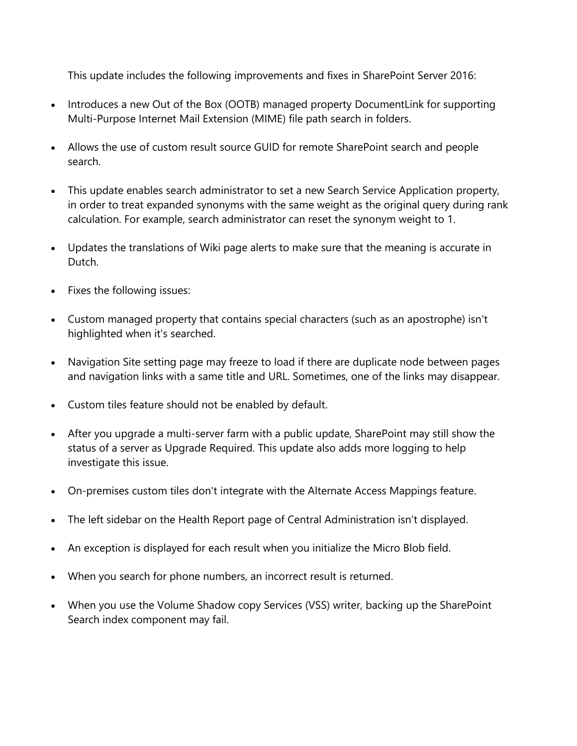This update includes the following improvements and fixes in SharePoint Server 2016:

- Introduces a new Out of the Box (OOTB) managed property DocumentLink for supporting Multi-Purpose Internet Mail Extension (MIME) file path search in folders.
- Allows the use of custom result source GUID for remote SharePoint search and people search.
- This update enables search administrator to set a new Search Service Application property, in order to treat expanded synonyms with the same weight as the original query during rank calculation. For example, search administrator can reset the synonym weight to 1.
- Updates the translations of Wiki page alerts to make sure that the meaning is accurate in Dutch.
- Fixes the following issues:
- Custom managed property that contains special characters (such as an apostrophe) isn't highlighted when it's searched.
- Navigation Site setting page may freeze to load if there are duplicate node between pages and navigation links with a same title and URL. Sometimes, one of the links may disappear.
- Custom tiles feature should not be enabled by default.
- After you upgrade a multi-server farm with a public update, SharePoint may still show the status of a server as Upgrade Required. This update also adds more logging to help investigate this issue.
- On-premises custom tiles don't integrate with the Alternate Access Mappings feature.
- The left sidebar on the Health Report page of Central Administration isn't displayed.
- An exception is displayed for each result when you initialize the Micro Blob field.
- When you search for phone numbers, an incorrect result is returned.
- When you use the Volume Shadow copy Services (VSS) writer, backing up the SharePoint Search index component may fail.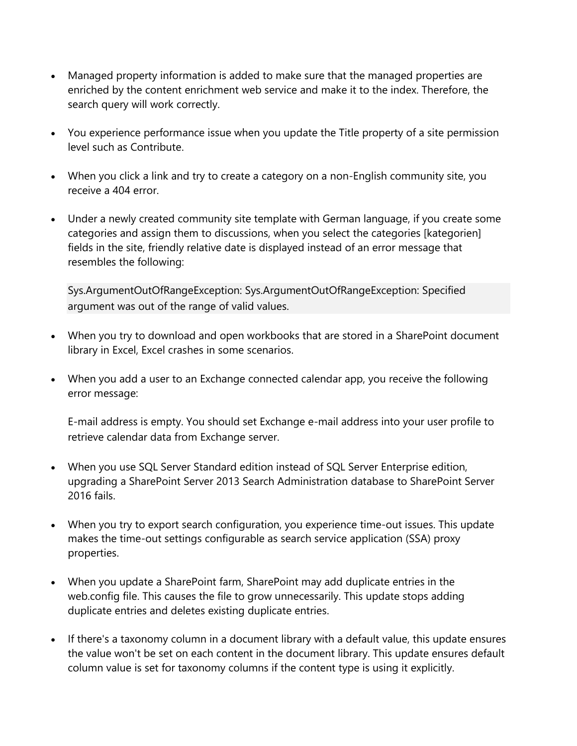- Managed property information is added to make sure that the managed properties are enriched by the content enrichment web service and make it to the index. Therefore, the search query will work correctly.
- You experience performance issue when you update the Title property of a site permission level such as Contribute.
- When you click a link and try to create a category on a non-English community site, you receive a 404 error.
- Under a newly created community site template with German language, if you create some categories and assign them to discussions, when you select the categories [kategorien] fields in the site, friendly relative date is displayed instead of an error message that resembles the following:

Sys.ArgumentOutOfRangeException: Sys.ArgumentOutOfRangeException: Specified argument was out of the range of valid values.

- When you try to download and open workbooks that are stored in a SharePoint document library in Excel, Excel crashes in some scenarios.
- When you add a user to an Exchange connected calendar app, you receive the following error message:

E-mail address is empty. You should set Exchange e-mail address into your user profile to retrieve calendar data from Exchange server.

- When you use SQL Server Standard edition instead of SQL Server Enterprise edition, upgrading a SharePoint Server 2013 Search Administration database to SharePoint Server 2016 fails.
- When you try to export search configuration, you experience time-out issues. This update makes the time-out settings configurable as search service application (SSA) proxy properties.
- When you update a SharePoint farm, SharePoint may add duplicate entries in the web.config file. This causes the file to grow unnecessarily. This update stops adding duplicate entries and deletes existing duplicate entries.
- If there's a taxonomy column in a document library with a default value, this update ensures the value won't be set on each content in the document library. This update ensures default column value is set for taxonomy columns if the content type is using it explicitly.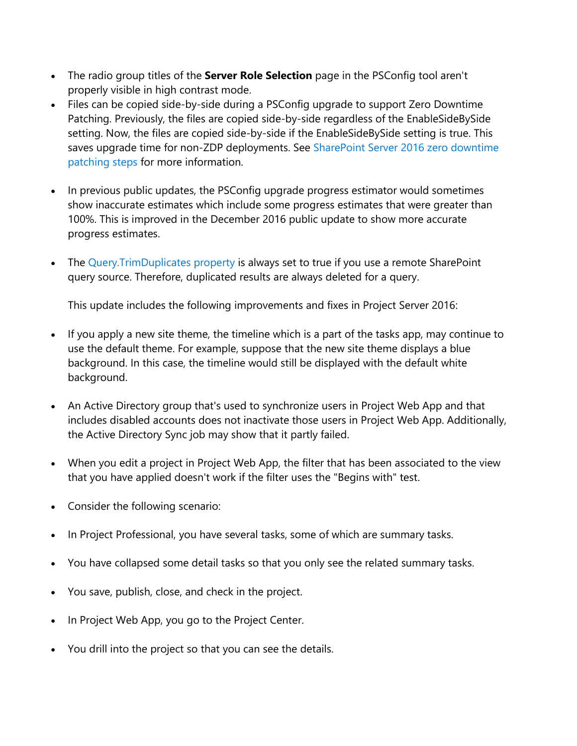- The radio group titles of the **Server Role Selection** page in the PSConfig tool aren't properly visible in high contrast mode.
- Files can be copied side-by-side during a PSConfig upgrade to support Zero Downtime Patching. Previously, the files are copied side-by-side regardless of the EnableSideBySide setting. Now, the files are copied side-by-side if the EnableSideBySide setting is true. This saves upgrade time for non-ZDP deployments. See [SharePoint Server 2016](https://technet.microsoft.com/library/mt743024(v=office.16).aspx) zero downtime [patching steps](https://technet.microsoft.com/library/mt743024(v=office.16).aspx) for more information.
- In previous public updates, the PSConfig upgrade progress estimator would sometimes show inaccurate estimates which include some progress estimates that were greater than 100%. This is improved in the December 2016 public update to show more accurate progress estimates.
- The [Query.TrimDuplicates property](https://msdn.microsoft.com/EN-US/library/office/microsoft.office.server.search.query.query.trimduplicates.aspx) is always set to true if you use a remote SharePoint query source. Therefore, duplicated results are always deleted for a query.

This update includes the following improvements and fixes in Project Server 2016:

- If you apply a new site theme, the timeline which is a part of the tasks app, may continue to use the default theme. For example, suppose that the new site theme displays a blue background. In this case, the timeline would still be displayed with the default white background.
- An Active Directory group that's used to synchronize users in Project Web App and that includes disabled accounts does not inactivate those users in Project Web App. Additionally, the Active Directory Sync job may show that it partly failed.
- When you edit a project in Project Web App, the filter that has been associated to the view that you have applied doesn't work if the filter uses the "Begins with" test.
- Consider the following scenario:
- In Project Professional, you have several tasks, some of which are summary tasks.
- You have collapsed some detail tasks so that you only see the related summary tasks.
- You save, publish, close, and check in the project.
- In Project Web App, you go to the Project Center.
- You drill into the project so that you can see the details.